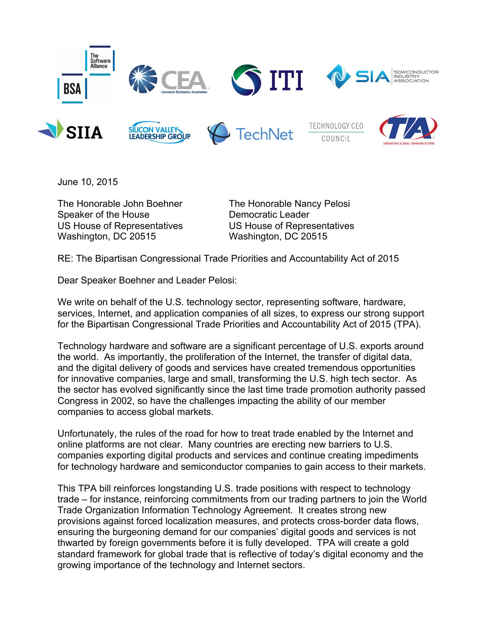

June 10, 2015

The Honorable John Boehner The Honorable Nancy Pelosi Speaker of the House Democratic Leader US House of Representatives US House of Representatives Washington, DC 20515 Washington, DC 20515

RE: The Bipartisan Congressional Trade Priorities and Accountability Act of 2015

Dear Speaker Boehner and Leader Pelosi:

We write on behalf of the U.S. technology sector, representing software, hardware, services, Internet, and application companies of all sizes, to express our strong support for the Bipartisan Congressional Trade Priorities and Accountability Act of 2015 (TPA).

Technology hardware and software are a significant percentage of U.S. exports around the world. As importantly, the proliferation of the Internet, the transfer of digital data, and the digital delivery of goods and services have created tremendous opportunities for innovative companies, large and small, transforming the U.S. high tech sector. As the sector has evolved significantly since the last time trade promotion authority passed Congress in 2002, so have the challenges impacting the ability of our member companies to access global markets.

Unfortunately, the rules of the road for how to treat trade enabled by the Internet and online platforms are not clear. Many countries are erecting new barriers to U.S. companies exporting digital products and services and continue creating impediments for technology hardware and semiconductor companies to gain access to their markets.

This TPA bill reinforces longstanding U.S. trade positions with respect to technology trade – for instance, reinforcing commitments from our trading partners to join the World Trade Organization Information Technology Agreement. It creates strong new provisions against forced localization measures, and protects cross-border data flows, ensuring the burgeoning demand for our companies' digital goods and services is not thwarted by foreign governments before it is fully developed. TPA will create a gold standard framework for global trade that is reflective of today's digital economy and the growing importance of the technology and Internet sectors.